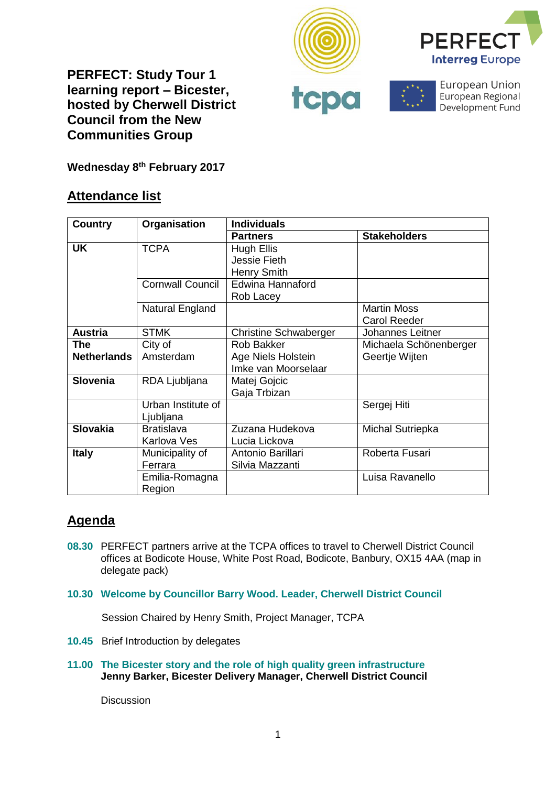







European Union European Regional Development Fund

**Wednesday 8th February 2017**

## **Attendance list**

| <b>Country</b>     | Organisation            | <b>Individuals</b>           |                         |
|--------------------|-------------------------|------------------------------|-------------------------|
|                    |                         | <b>Partners</b>              | <b>Stakeholders</b>     |
| <b>UK</b>          | <b>TCPA</b>             | <b>Hugh Ellis</b>            |                         |
|                    |                         | Jessie Fieth                 |                         |
|                    |                         | <b>Henry Smith</b>           |                         |
|                    | <b>Cornwall Council</b> | Edwina Hannaford             |                         |
|                    |                         | Rob Lacey                    |                         |
|                    | Natural England         |                              | <b>Martin Moss</b>      |
|                    |                         |                              | <b>Carol Reeder</b>     |
| <b>Austria</b>     | <b>STMK</b>             | <b>Christine Schwaberger</b> | <b>Johannes Leitner</b> |
| <b>The</b>         | City of                 | <b>Rob Bakker</b>            | Michaela Schönenberger  |
| <b>Netherlands</b> | Amsterdam               | Age Niels Holstein           | Geertje Wijten          |
|                    |                         | Imke van Moorselaar          |                         |
| <b>Slovenia</b>    | RDA Ljubljana           | Matej Gojcic                 |                         |
|                    |                         | Gaja Trbizan                 |                         |
|                    | Urban Institute of      |                              | Sergej Hiti             |
|                    | Ljubljana               |                              |                         |
| <b>Slovakia</b>    | <b>Bratislava</b>       | Zuzana Hudekova              | <b>Michal Sutriepka</b> |
|                    | Karlova Ves             | Lucia Lickova                |                         |
| <b>Italy</b>       | Municipality of         | Antonio Barillari            | Roberta Fusari          |
|                    | Ferrara                 | Silvia Mazzanti              |                         |
|                    | Emilia-Romagna          |                              | Luisa Ravanello         |
|                    | Region                  |                              |                         |

# **Agenda**

- **08.30** PERFECT partners arrive at the TCPA offices to travel to Cherwell District Council offices at Bodicote House, White Post Road, Bodicote, Banbury, OX15 4AA (map in delegate pack)
- **10.30 Welcome by Councillor Barry Wood. Leader, Cherwell District Council**

Session Chaired by Henry Smith, Project Manager, TCPA

- **10.45** Brief Introduction by delegates
- **11.00 The Bicester story and the role of high quality green infrastructure Jenny Barker, Bicester Delivery Manager, Cherwell District Council**

**Discussion**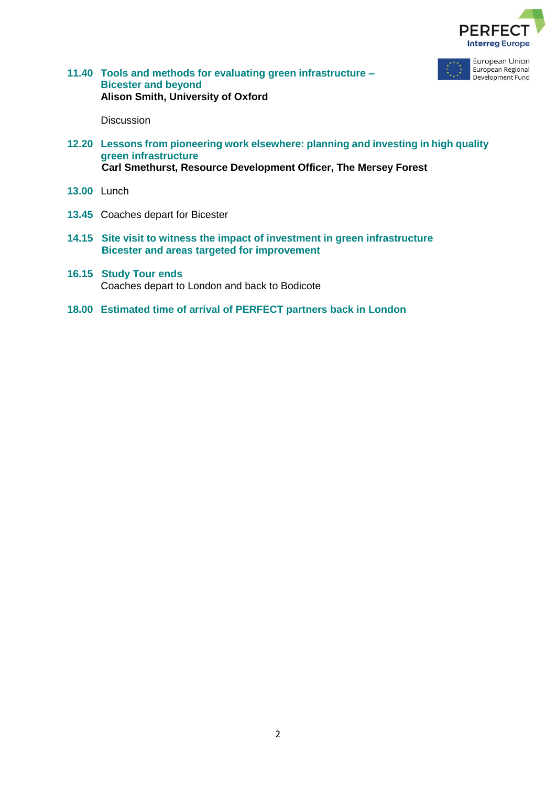



**11.40 Tools and methods for evaluating green infrastructure – Bicester and beyond Alison Smith, University of Oxford**

**Discussion** 

- **12.20 Lessons from pioneering work elsewhere: planning and investing in high quality green infrastructure Carl Smethurst, Resource Development Officer, The Mersey Forest**
- **13.00** Lunch
- **13.45** Coaches depart for Bicester
- **14.15 Site visit to witness the impact of investment in green infrastructure Bicester and areas targeted for improvement**
- **16.15 Study Tour ends** Coaches depart to London and back to Bodicote
- **18.00 Estimated time of arrival of PERFECT partners back in London**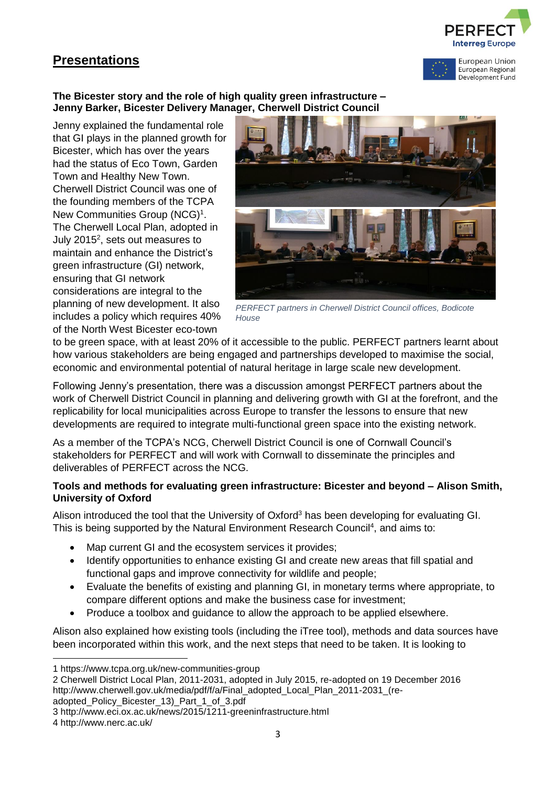# **Presentations**





#### **The Bicester story and the role of high quality green infrastructure – Jenny Barker, Bicester Delivery Manager, Cherwell District Council**

Jenny explained the fundamental role that GI plays in the planned growth for Bicester, which has over the years had the status of Eco Town, Garden Town and Healthy New Town. Cherwell District Council was one of the founding members of the TCPA New Communities Group (NCG)<sup>1</sup>. The Cherwell Local Plan, adopted in July 2015<sup>2</sup>, sets out measures to maintain and enhance the District's green infrastructure (GI) network, ensuring that GI network considerations are integral to the planning of new development. It also includes a policy which requires 40% of the North West Bicester eco-town



*PERFECT partners in Cherwell District Council offices, Bodicote House*

to be green space, with at least 20% of it accessible to the public. PERFECT partners learnt about how various stakeholders are being engaged and partnerships developed to maximise the social, economic and environmental potential of natural heritage in large scale new development.

Following Jenny's presentation, there was a discussion amongst PERFECT partners about the work of Cherwell District Council in planning and delivering growth with GI at the forefront, and the replicability for local municipalities across Europe to transfer the lessons to ensure that new developments are required to integrate multi-functional green space into the existing network.

As a member of the TCPA's NCG, Cherwell District Council is one of Cornwall Council's stakeholders for PERFECT and will work with Cornwall to disseminate the principles and deliverables of PERFECT across the NCG.

## **Tools and methods for evaluating green infrastructure: Bicester and beyond – Alison Smith, University of Oxford**

Alison introduced the tool that the University of Oxford<sup>3</sup> has been developing for evaluating GI. This is being supported by the Natural Environment Research Council<sup>4</sup>, and aims to:

- Map current GI and the ecosystem services it provides;
- Identify opportunities to enhance existing GI and create new areas that fill spatial and functional gaps and improve connectivity for wildlife and people;
- Evaluate the benefits of existing and planning GI, in monetary terms where appropriate, to compare different options and make the business case for investment;
- Produce a toolbox and guidance to allow the approach to be applied elsewhere.

Alison also explained how existing tools (including the iTree tool), methods and data sources have been incorporated within this work, and the next steps that need to be taken. It is looking to

adopted\_Policy\_Bicester\_13)\_Part\_1\_of\_3.pdf

1

<sup>1</sup> https://www.tcpa.org.uk/new-communities-group

<sup>2</sup> Cherwell District Local Plan, 2011-2031, adopted in July 2015, re-adopted on 19 December 2016 http://www.cherwell.gov.uk/media/pdf/f/a/Final\_adopted\_Local\_Plan\_2011-2031\_(re-

<sup>3</sup> http://www.eci.ox.ac.uk/news/2015/1211-greeninfrastructure.html

<sup>4</sup> http://www.nerc.ac.uk/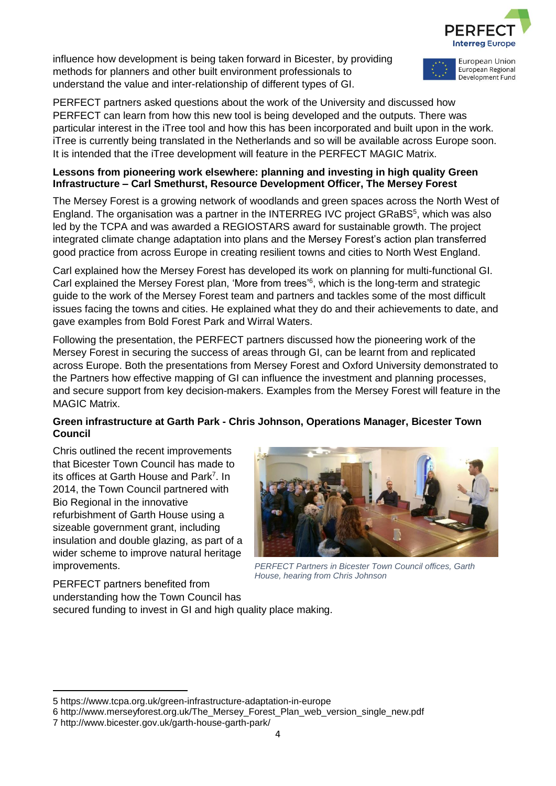

influence how development is being taken forward in Bicester, by providing methods for planners and other built environment professionals to understand the value and inter-relationship of different types of GI.



PERFECT partners asked questions about the work of the University and discussed how PERFECT can learn from how this new tool is being developed and the outputs. There was particular interest in the iTree tool and how this has been incorporated and built upon in the work. iTree is currently being translated in the Netherlands and so will be available across Europe soon. It is intended that the iTree development will feature in the PERFECT MAGIC Matrix.

#### **Lessons from pioneering work elsewhere: planning and investing in high quality Green Infrastructure – Carl Smethurst, Resource Development Officer, The Mersey Forest**

The Mersey Forest is a growing network of woodlands and green spaces across the North West of England. The organisation was a partner in the INTERREG IVC project GRaBS<sup>5</sup>, which was also led by the TCPA and was awarded a REGIOSTARS award for sustainable growth. The project integrated climate change adaptation into plans and the Mersey Forest's action plan transferred good practice from across Europe in creating resilient towns and cities to North West England.

Carl explained how the Mersey Forest has developed its work on planning for multi-functional GI. Carl explained the Mersey Forest plan, 'More from trees'<sup>6</sup>, which is the long-term and strategic guide to the work of the Mersey Forest team and partners and tackles some of the most difficult issues facing the towns and cities. He explained what they do and their achievements to date, and gave examples from Bold Forest Park and Wirral Waters.

Following the presentation, the PERFECT partners discussed how the pioneering work of the Mersey Forest in securing the success of areas through GI, can be learnt from and replicated across Europe. Both the presentations from Mersey Forest and Oxford University demonstrated to the Partners how effective mapping of GI can influence the investment and planning processes, and secure support from key decision-makers. Examples from the Mersey Forest will feature in the MAGIC Matrix.

## **Green infrastructure at Garth Park - Chris Johnson, Operations Manager, Bicester Town Council**

Chris outlined the recent improvements that Bicester Town Council has made to its offices at Garth House and Park<sup>7</sup>. In 2014, the Town Council partnered with Bio Regional in the innovative refurbishment of Garth House using a sizeable government grant, including insulation and double glazing, as part of a wider scheme to improve natural heritage improvements.



*PERFECT Partners in Bicester Town Council offices, Garth House, hearing from Chris Johnson*

PERFECT partners benefited from understanding how the Town Council has secured funding to invest in GI and high quality place making.

 $\overline{a}$ 5 https://www.tcpa.org.uk/green-infrastructure-adaptation-in-europe

<sup>6</sup> http://www.merseyforest.org.uk/The\_Mersey\_Forest\_Plan\_web\_version\_single\_new.pdf

<sup>7</sup> http://www.bicester.gov.uk/garth-house-garth-park/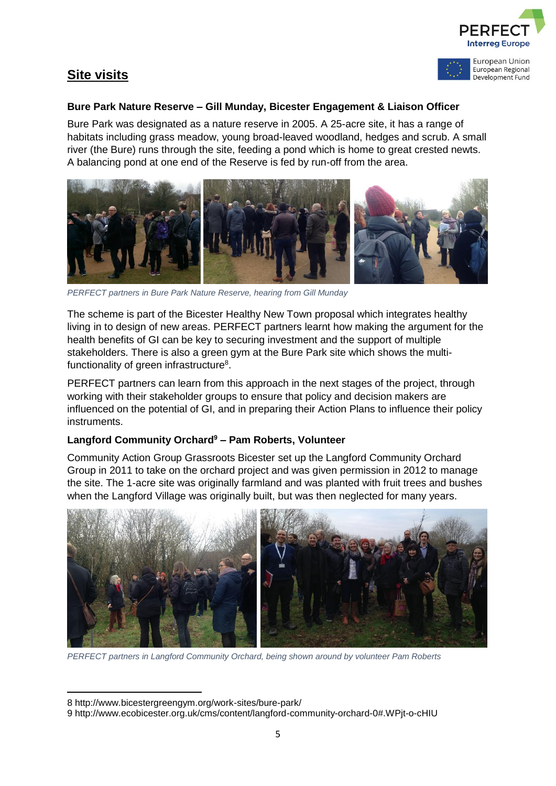



European Union European Regional Development Fund

#### **Bure Park Nature Reserve – Gill Munday, Bicester Engagement & Liaison Officer**

Bure Park was designated as a nature reserve in 2005. A 25-acre site, it has a range of habitats including grass meadow, young broad-leaved woodland, hedges and scrub. A small river (the Bure) runs through the site, feeding a pond which is home to great crested newts. A balancing pond at one end of the Reserve is fed by run-off from the area.



*PERFECT partners in Bure Park Nature Reserve, hearing from Gill Munday*

The scheme is part of the Bicester Healthy New Town proposal which integrates healthy living in to design of new areas. PERFECT partners learnt how making the argument for the health benefits of GI can be key to securing investment and the support of multiple stakeholders. There is also a green gym at the Bure Park site which shows the multifunctionality of green infrastructure<sup>8</sup>.

PERFECT partners can learn from this approach in the next stages of the project, through working with their stakeholder groups to ensure that policy and decision makers are influenced on the potential of GI, and in preparing their Action Plans to influence their policy instruments.

## **Langford Community Orchard<sup>9</sup> – Pam Roberts, Volunteer**

Community Action Group Grassroots Bicester set up the Langford Community Orchard Group in 2011 to take on the orchard project and was given permission in 2012 to manage the site. The 1-acre site was originally farmland and was planted with fruit trees and bushes when the Langford Village was originally built, but was then neglected for many years.



*PERFECT partners in Langford Community Orchard, being shown around by volunteer Pam Roberts*

**.** 

<sup>8</sup> http://www.bicestergreengym.org/work-sites/bure-park/

<sup>9</sup> http://www.ecobicester.org.uk/cms/content/langford-community-orchard-0#.WPjt-o-cHIU